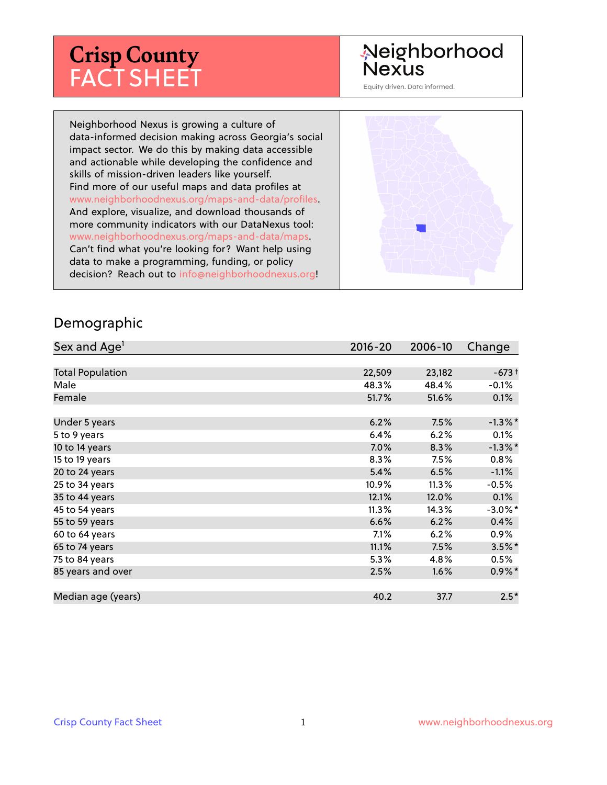# **Crisp County** FACT SHEET

## Neighborhood **Nexus**

Equity driven. Data informed.

Neighborhood Nexus is growing a culture of data-informed decision making across Georgia's social impact sector. We do this by making data accessible and actionable while developing the confidence and skills of mission-driven leaders like yourself. Find more of our useful maps and data profiles at www.neighborhoodnexus.org/maps-and-data/profiles. And explore, visualize, and download thousands of more community indicators with our DataNexus tool: www.neighborhoodnexus.org/maps-and-data/maps. Can't find what you're looking for? Want help using data to make a programming, funding, or policy decision? Reach out to [info@neighborhoodnexus.org!](mailto:info@neighborhoodnexus.org)



#### Demographic

| Sex and Age <sup>1</sup> | $2016 - 20$ | 2006-10 | Change     |
|--------------------------|-------------|---------|------------|
|                          |             |         |            |
| <b>Total Population</b>  | 22,509      | 23,182  | $-673+$    |
| Male                     | 48.3%       | 48.4%   | $-0.1\%$   |
| Female                   | 51.7%       | 51.6%   | 0.1%       |
|                          |             |         |            |
| Under 5 years            | 6.2%        | 7.5%    | $-1.3\%$ * |
| 5 to 9 years             | 6.4%        | 6.2%    | 0.1%       |
| 10 to 14 years           | $7.0\%$     | 8.3%    | $-1.3\%$ * |
| 15 to 19 years           | 8.3%        | 7.5%    | 0.8%       |
| 20 to 24 years           | 5.4%        | 6.5%    | $-1.1%$    |
| 25 to 34 years           | 10.9%       | 11.3%   | $-0.5%$    |
| 35 to 44 years           | 12.1%       | 12.0%   | 0.1%       |
| 45 to 54 years           | 11.3%       | 14.3%   | $-3.0\%$ * |
| 55 to 59 years           | 6.6%        | 6.2%    | 0.4%       |
| 60 to 64 years           | $7.1\%$     | 6.2%    | $0.9\%$    |
| 65 to 74 years           | 11.1%       | 7.5%    | $3.5\%$ *  |
| 75 to 84 years           | 5.3%        | 4.8%    | $0.5\%$    |
| 85 years and over        | 2.5%        | 1.6%    | $0.9\%$ *  |
|                          |             |         |            |
| Median age (years)       | 40.2        | 37.7    | $2.5*$     |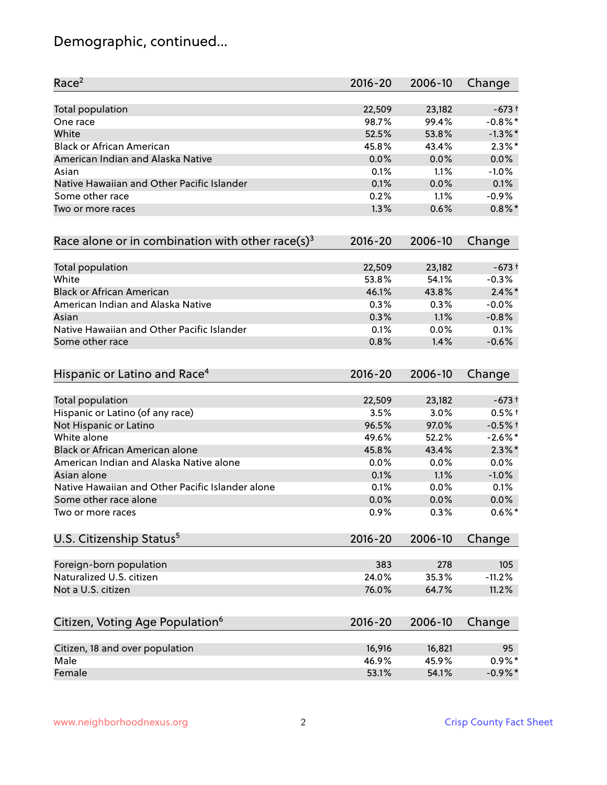## Demographic, continued...

| Race <sup>2</sup>                                            | $2016 - 20$ | 2006-10 | Change     |
|--------------------------------------------------------------|-------------|---------|------------|
| <b>Total population</b>                                      | 22,509      | 23,182  | $-673+$    |
| One race                                                     | 98.7%       | 99.4%   | $-0.8\%$ * |
| White                                                        | 52.5%       | 53.8%   | $-1.3\%$ * |
| <b>Black or African American</b>                             | 45.8%       | 43.4%   | $2.3\%$ *  |
| American Indian and Alaska Native                            | 0.0%        | 0.0%    | 0.0%       |
| Asian                                                        | 0.1%        | 1.1%    | $-1.0%$    |
| Native Hawaiian and Other Pacific Islander                   | 0.1%        | 0.0%    | 0.1%       |
| Some other race                                              | 0.2%        | 1.1%    | $-0.9%$    |
| Two or more races                                            | 1.3%        | 0.6%    | $0.8\%$ *  |
| Race alone or in combination with other race(s) <sup>3</sup> | $2016 - 20$ | 2006-10 | Change     |
| Total population                                             | 22,509      | 23,182  | $-673+$    |
| White                                                        | 53.8%       | 54.1%   | $-0.3%$    |
| <b>Black or African American</b>                             | 46.1%       | 43.8%   | $2.4\%$ *  |
| American Indian and Alaska Native                            | 0.3%        | 0.3%    | $-0.0%$    |
| Asian                                                        | 0.3%        | 1.1%    | $-0.8%$    |
| Native Hawaiian and Other Pacific Islander                   | 0.1%        | 0.0%    | 0.1%       |
| Some other race                                              | 0.8%        | 1.4%    | $-0.6%$    |
| Hispanic or Latino and Race <sup>4</sup>                     | $2016 - 20$ | 2006-10 | Change     |
| <b>Total population</b>                                      | 22,509      | 23,182  | $-673+$    |
| Hispanic or Latino (of any race)                             | 3.5%        | 3.0%    | $0.5%$ +   |
| Not Hispanic or Latino                                       | 96.5%       | 97.0%   | $-0.5%$ †  |
| White alone                                                  | 49.6%       | 52.2%   | $-2.6\%$ * |
| Black or African American alone                              | 45.8%       | 43.4%   | $2.3\%$ *  |
| American Indian and Alaska Native alone                      | 0.0%        | 0.0%    | 0.0%       |
| Asian alone                                                  | 0.1%        | 1.1%    | $-1.0%$    |
| Native Hawaiian and Other Pacific Islander alone             | 0.1%        | 0.0%    | 0.1%       |
| Some other race alone                                        | 0.0%        | 0.0%    | $0.0\%$    |
| Two or more races                                            | 0.9%        | 0.3%    | $0.6\%$ *  |
| U.S. Citizenship Status <sup>5</sup>                         | $2016 - 20$ | 2006-10 | Change     |
| Foreign-born population                                      | 383         | 278     | 105        |
| Naturalized U.S. citizen                                     | 24.0%       | 35.3%   | $-11.2%$   |
| Not a U.S. citizen                                           | 76.0%       | 64.7%   | 11.2%      |
| Citizen, Voting Age Population <sup>6</sup>                  | $2016 - 20$ | 2006-10 | Change     |
| Citizen, 18 and over population                              | 16,916      | 16,821  | 95         |
| Male                                                         | 46.9%       | 45.9%   | $0.9%$ *   |
| Female                                                       | 53.1%       | 54.1%   | $-0.9\%$ * |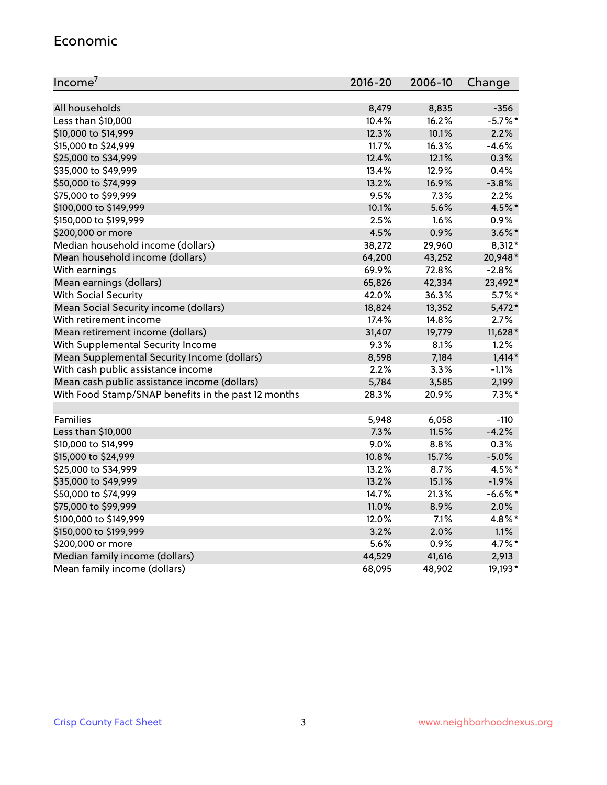#### Economic

| Income <sup>7</sup>                                 | 2016-20 | 2006-10 | Change    |
|-----------------------------------------------------|---------|---------|-----------|
|                                                     |         |         |           |
| All households                                      | 8,479   | 8,835   | $-356$    |
| Less than \$10,000                                  | 10.4%   | 16.2%   | $-5.7%$ * |
| \$10,000 to \$14,999                                | 12.3%   | 10.1%   | 2.2%      |
| \$15,000 to \$24,999                                | 11.7%   | 16.3%   | $-4.6%$   |
| \$25,000 to \$34,999                                | 12.4%   | 12.1%   | 0.3%      |
| \$35,000 to \$49,999                                | 13.4%   | 12.9%   | 0.4%      |
| \$50,000 to \$74,999                                | 13.2%   | 16.9%   | $-3.8%$   |
| \$75,000 to \$99,999                                | 9.5%    | 7.3%    | 2.2%      |
| \$100,000 to \$149,999                              | 10.1%   | 5.6%    | 4.5%*     |
| \$150,000 to \$199,999                              | 2.5%    | 1.6%    | 0.9%      |
| \$200,000 or more                                   | 4.5%    | 0.9%    | $3.6\%$ * |
| Median household income (dollars)                   | 38,272  | 29,960  | 8,312*    |
| Mean household income (dollars)                     | 64,200  | 43,252  | 20,948*   |
| With earnings                                       | 69.9%   | 72.8%   | $-2.8%$   |
| Mean earnings (dollars)                             | 65,826  | 42,334  | 23,492*   |
| <b>With Social Security</b>                         | 42.0%   | 36.3%   | $5.7\%$ * |
| Mean Social Security income (dollars)               | 18,824  | 13,352  | $5,472*$  |
| With retirement income                              | 17.4%   | 14.8%   | 2.7%      |
| Mean retirement income (dollars)                    | 31,407  | 19,779  | 11,628*   |
| With Supplemental Security Income                   | 9.3%    | 8.1%    | 1.2%      |
| Mean Supplemental Security Income (dollars)         | 8,598   | 7,184   | $1,414*$  |
| With cash public assistance income                  | 2.2%    | 3.3%    | $-1.1%$   |
| Mean cash public assistance income (dollars)        | 5,784   | 3,585   | 2,199     |
| With Food Stamp/SNAP benefits in the past 12 months | 28.3%   | 20.9%   | $7.3\%$ * |
|                                                     |         |         |           |
| Families                                            | 5,948   | 6,058   | $-110$    |
| Less than \$10,000                                  | 7.3%    | 11.5%   | $-4.2%$   |
| \$10,000 to \$14,999                                | 9.0%    | 8.8%    | 0.3%      |
| \$15,000 to \$24,999                                | 10.8%   | 15.7%   | $-5.0%$   |
| \$25,000 to \$34,999                                | 13.2%   | 8.7%    | 4.5%*     |
| \$35,000 to \$49,999                                | 13.2%   | 15.1%   | $-1.9%$   |
| \$50,000 to \$74,999                                | 14.7%   | 21.3%   | $-6.6%$ * |
| \$75,000 to \$99,999                                | 11.0%   | 8.9%    | 2.0%      |
| \$100,000 to \$149,999                              | 12.0%   | 7.1%    | 4.8%*     |
| \$150,000 to \$199,999                              | 3.2%    | 2.0%    | 1.1%      |
| \$200,000 or more                                   | 5.6%    | 0.9%    | 4.7%*     |
| Median family income (dollars)                      | 44,529  | 41,616  | 2,913     |
| Mean family income (dollars)                        | 68,095  | 48,902  | 19,193*   |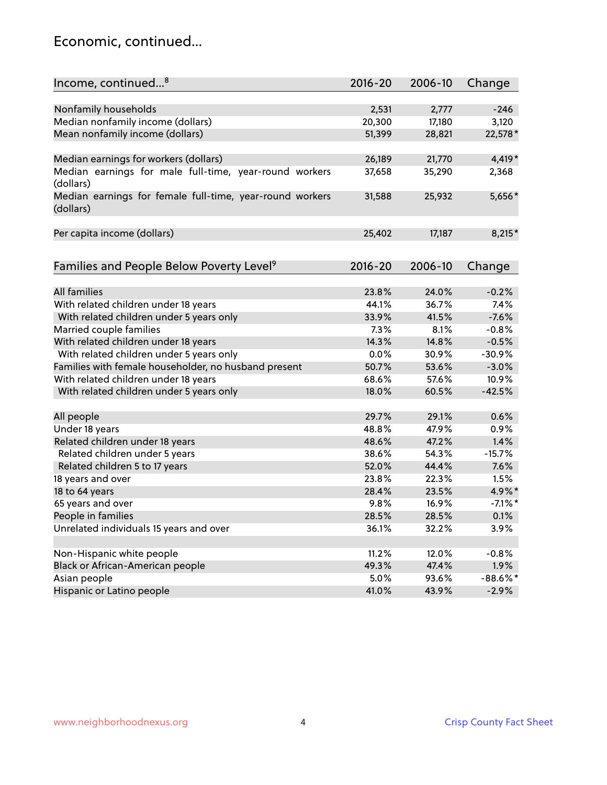### Economic, continued...

| Income, continued <sup>8</sup>                           | $2016 - 20$ | 2006-10 | Change     |
|----------------------------------------------------------|-------------|---------|------------|
|                                                          |             |         |            |
| Nonfamily households                                     | 2,531       | 2,777   | $-246$     |
| Median nonfamily income (dollars)                        | 20,300      | 17,180  | 3,120      |
| Mean nonfamily income (dollars)                          | 51,399      | 28,821  | 22,578*    |
|                                                          |             |         |            |
| Median earnings for workers (dollars)                    | 26,189      | 21,770  | 4,419*     |
| Median earnings for male full-time, year-round workers   | 37,658      | 35,290  | 2,368      |
| (dollars)                                                |             |         |            |
| Median earnings for female full-time, year-round workers | 31,588      | 25,932  | 5,656*     |
| (dollars)                                                |             |         |            |
| Per capita income (dollars)                              | 25,402      | 17,187  | 8,215*     |
|                                                          |             |         |            |
| Families and People Below Poverty Level <sup>9</sup>     | $2016 - 20$ | 2006-10 | Change     |
|                                                          |             |         |            |
| All families                                             | 23.8%       | 24.0%   | $-0.2%$    |
| With related children under 18 years                     | 44.1%       | 36.7%   | 7.4%       |
| With related children under 5 years only                 | 33.9%       | 41.5%   | $-7.6%$    |
| Married couple families                                  | 7.3%        | 8.1%    | $-0.8%$    |
| With related children under 18 years                     | 14.3%       | 14.8%   | $-0.5%$    |
| With related children under 5 years only                 | 0.0%        | 30.9%   | $-30.9%$   |
| Families with female householder, no husband present     | 50.7%       | 53.6%   | $-3.0%$    |
| With related children under 18 years                     | 68.6%       | 57.6%   | 10.9%      |
| With related children under 5 years only                 | 18.0%       | 60.5%   | $-42.5%$   |
|                                                          |             |         |            |
| All people                                               | 29.7%       | 29.1%   | 0.6%       |
| Under 18 years                                           | 48.8%       | 47.9%   | 0.9%       |
| Related children under 18 years                          | 48.6%       | 47.2%   | 1.4%       |
| Related children under 5 years                           | 38.6%       | 54.3%   | $-15.7%$   |
| Related children 5 to 17 years                           | 52.0%       | 44.4%   | 7.6%       |
| 18 years and over                                        | 23.8%       | 22.3%   | 1.5%       |
| 18 to 64 years                                           | 28.4%       | 23.5%   | 4.9%*      |
| 65 years and over                                        | 9.8%        | 16.9%   | $-7.1\%$ * |
| People in families                                       | 28.5%       | 28.5%   | 0.1%       |
| Unrelated individuals 15 years and over                  | 36.1%       | 32.2%   | 3.9%       |
|                                                          |             |         |            |
| Non-Hispanic white people                                | 11.2%       | 12.0%   | $-0.8%$    |
| Black or African-American people                         | 49.3%       | 47.4%   | 1.9%       |
| Asian people                                             | 5.0%        | 93.6%   | $-88.6%$ * |
| Hispanic or Latino people                                | 41.0%       | 43.9%   | $-2.9%$    |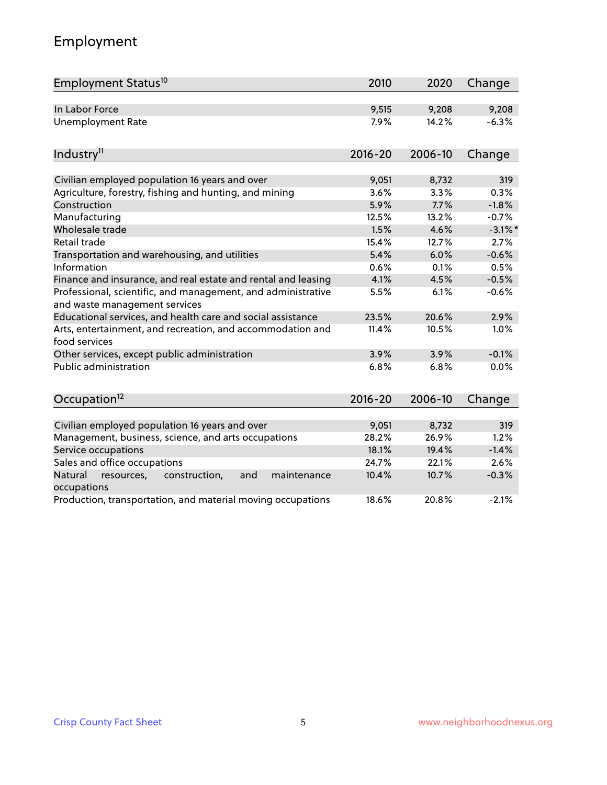## Employment

| Employment Status <sup>10</sup>                                                               | 2010        | 2020    | Change     |
|-----------------------------------------------------------------------------------------------|-------------|---------|------------|
| In Labor Force                                                                                | 9,515       | 9,208   | 9,208      |
| <b>Unemployment Rate</b>                                                                      | 7.9%        | 14.2%   | $-6.3%$    |
|                                                                                               |             |         |            |
| Industry <sup>11</sup>                                                                        | $2016 - 20$ | 2006-10 | Change     |
| Civilian employed population 16 years and over                                                | 9,051       | 8,732   | 319        |
| Agriculture, forestry, fishing and hunting, and mining                                        | 3.6%        | 3.3%    | 0.3%       |
| Construction                                                                                  | 5.9%        | 7.7%    | $-1.8%$    |
| Manufacturing                                                                                 | 12.5%       | 13.2%   | $-0.7%$    |
| Wholesale trade                                                                               | 1.5%        | 4.6%    | $-3.1\%$ * |
| Retail trade                                                                                  | 15.4%       | 12.7%   | 2.7%       |
| Transportation and warehousing, and utilities                                                 | 5.4%        | 6.0%    | $-0.6%$    |
| Information                                                                                   | 0.6%        | 0.1%    | 0.5%       |
| Finance and insurance, and real estate and rental and leasing                                 | 4.1%        | 4.5%    | $-0.5%$    |
| Professional, scientific, and management, and administrative<br>and waste management services | 5.5%        | 6.1%    | $-0.6%$    |
| Educational services, and health care and social assistance                                   | 23.5%       | 20.6%   | 2.9%       |
| Arts, entertainment, and recreation, and accommodation and<br>food services                   | 11.4%       | 10.5%   | 1.0%       |
| Other services, except public administration                                                  | 3.9%        | 3.9%    | $-0.1%$    |
| <b>Public administration</b>                                                                  | 6.8%        | 6.8%    | 0.0%       |
| Occupation <sup>12</sup>                                                                      | $2016 - 20$ | 2006-10 | Change     |
|                                                                                               |             |         |            |
| Civilian employed population 16 years and over                                                | 9,051       | 8,732   | 319        |
| Management, business, science, and arts occupations                                           | 28.2%       | 26.9%   | 1.2%       |
| Service occupations                                                                           | 18.1%       | 19.4%   | $-1.4%$    |
| Sales and office occupations                                                                  | 24.7%       | 22.1%   | 2.6%       |
| Natural<br>resources,<br>construction,<br>and<br>maintenance<br>occupations                   | 10.4%       | 10.7%   | $-0.3%$    |
| Production, transportation, and material moving occupations                                   | 18.6%       | 20.8%   | $-2.1%$    |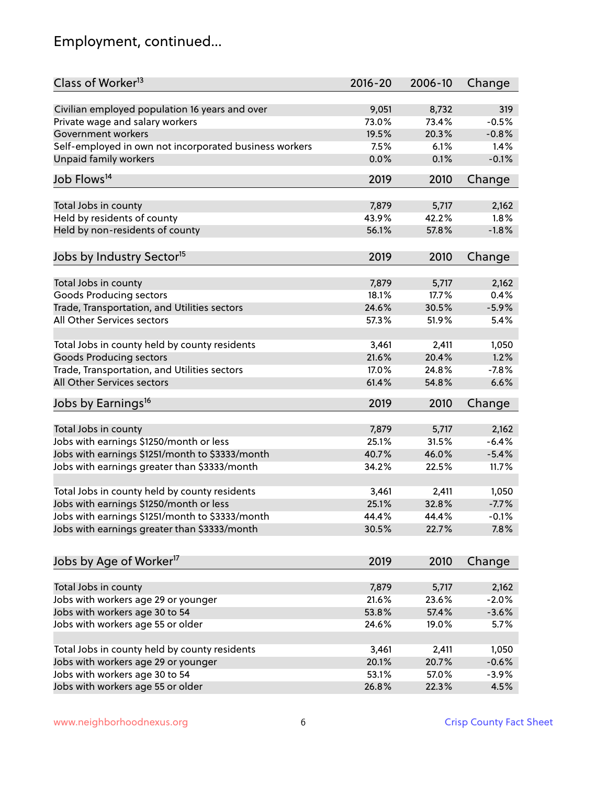## Employment, continued...

| Class of Worker <sup>13</sup>                          | $2016 - 20$ | 2006-10 | Change  |
|--------------------------------------------------------|-------------|---------|---------|
| Civilian employed population 16 years and over         | 9,051       | 8,732   | 319     |
| Private wage and salary workers                        | 73.0%       | 73.4%   | $-0.5%$ |
| Government workers                                     | 19.5%       | 20.3%   | $-0.8%$ |
| Self-employed in own not incorporated business workers | 7.5%        | 6.1%    | 1.4%    |
| <b>Unpaid family workers</b>                           | 0.0%        | 0.1%    | $-0.1%$ |
|                                                        |             |         |         |
| Job Flows <sup>14</sup>                                | 2019        | 2010    | Change  |
| Total Jobs in county                                   | 7,879       | 5,717   | 2,162   |
| Held by residents of county                            | 43.9%       | 42.2%   | 1.8%    |
|                                                        | 56.1%       | 57.8%   | $-1.8%$ |
| Held by non-residents of county                        |             |         |         |
| Jobs by Industry Sector <sup>15</sup>                  | 2019        | 2010    | Change  |
| Total Jobs in county                                   | 7,879       | 5,717   | 2,162   |
| Goods Producing sectors                                | 18.1%       | 17.7%   | 0.4%    |
| Trade, Transportation, and Utilities sectors           | 24.6%       | 30.5%   | $-5.9%$ |
| All Other Services sectors                             | 57.3%       | 51.9%   | 5.4%    |
|                                                        |             |         |         |
| Total Jobs in county held by county residents          | 3,461       | 2,411   | 1,050   |
| <b>Goods Producing sectors</b>                         | 21.6%       | 20.4%   | 1.2%    |
| Trade, Transportation, and Utilities sectors           | 17.0%       | 24.8%   | $-7.8%$ |
| All Other Services sectors                             | 61.4%       | 54.8%   | 6.6%    |
| Jobs by Earnings <sup>16</sup>                         | 2019        | 2010    | Change  |
|                                                        |             |         |         |
| Total Jobs in county                                   | 7,879       | 5,717   | 2,162   |
| Jobs with earnings \$1250/month or less                | 25.1%       | 31.5%   | $-6.4%$ |
| Jobs with earnings \$1251/month to \$3333/month        | 40.7%       | 46.0%   | $-5.4%$ |
| Jobs with earnings greater than \$3333/month           | 34.2%       | 22.5%   | 11.7%   |
| Total Jobs in county held by county residents          | 3,461       | 2,411   | 1,050   |
| Jobs with earnings \$1250/month or less                | 25.1%       | 32.8%   | $-7.7%$ |
| Jobs with earnings \$1251/month to \$3333/month        | 44.4%       | 44.4%   | -0.1%   |
| Jobs with earnings greater than \$3333/month           | 30.5%       | 22.7%   | 7.8%    |
|                                                        |             |         |         |
| Jobs by Age of Worker <sup>17</sup>                    | 2019        | 2010    | Change  |
|                                                        |             |         |         |
| Total Jobs in county                                   | 7,879       | 5,717   | 2,162   |
| Jobs with workers age 29 or younger                    | 21.6%       | 23.6%   | $-2.0%$ |
| Jobs with workers age 30 to 54                         | 53.8%       | 57.4%   | $-3.6%$ |
| Jobs with workers age 55 or older                      | 24.6%       | 19.0%   | 5.7%    |
| Total Jobs in county held by county residents          | 3,461       | 2,411   | 1,050   |
| Jobs with workers age 29 or younger                    | 20.1%       | 20.7%   | $-0.6%$ |
| Jobs with workers age 30 to 54                         | 53.1%       | 57.0%   | $-3.9%$ |
| Jobs with workers age 55 or older                      | 26.8%       | 22.3%   | 4.5%    |
|                                                        |             |         |         |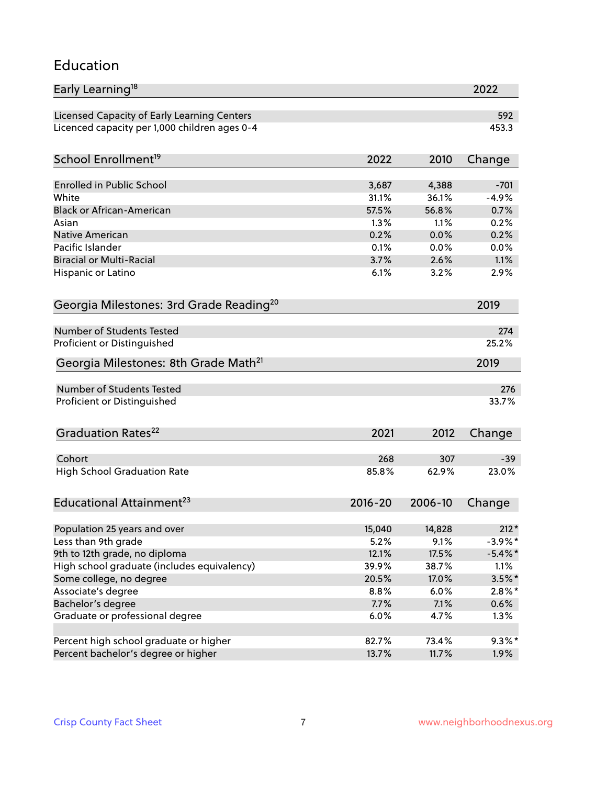#### Education

| Early Learning <sup>18</sup>                        |                |                | 2022                     |
|-----------------------------------------------------|----------------|----------------|--------------------------|
| Licensed Capacity of Early Learning Centers         |                |                | 592                      |
| Licenced capacity per 1,000 children ages 0-4       |                |                | 453.3                    |
| School Enrollment <sup>19</sup>                     | 2022           | 2010           | Change                   |
|                                                     |                |                |                          |
| <b>Enrolled in Public School</b>                    | 3,687          | 4,388          | $-701$                   |
| White                                               | 31.1%          | 36.1%          | $-4.9%$                  |
| <b>Black or African-American</b>                    | 57.5%          | 56.8%          | 0.7%                     |
| Asian                                               | 1.3%           | 1.1%           | 0.2%                     |
| <b>Native American</b>                              | 0.2%           | 0.0%           | 0.2%                     |
| Pacific Islander                                    | 0.1%           | 0.0%           | 0.0%                     |
| <b>Biracial or Multi-Racial</b>                     | 3.7%           | 2.6%           | 1.1%                     |
| Hispanic or Latino                                  | 6.1%           | 3.2%           | 2.9%                     |
| Georgia Milestones: 3rd Grade Reading <sup>20</sup> |                |                | 2019                     |
|                                                     |                |                |                          |
| <b>Number of Students Tested</b>                    |                |                | 274                      |
| Proficient or Distinguished                         |                |                | 25.2%                    |
| Georgia Milestones: 8th Grade Math <sup>21</sup>    |                |                | 2019                     |
| <b>Number of Students Tested</b>                    |                |                | 276                      |
| Proficient or Distinguished                         |                |                | 33.7%                    |
|                                                     |                |                |                          |
| Graduation Rates <sup>22</sup>                      | 2021           | 2012           | Change                   |
|                                                     |                |                |                          |
| Cohort                                              | 268            | 307            | $-39$                    |
| <b>High School Graduation Rate</b>                  | 85.8%          | 62.9%          | 23.0%                    |
| Educational Attainment <sup>23</sup>                | $2016 - 20$    | 2006-10        | Change                   |
|                                                     |                |                |                          |
| Population 25 years and over                        | 15,040<br>5.2% | 14,828         | $212*$                   |
| Less than 9th grade                                 |                | 9.1%<br>17.5%  | $-3.9\%$ *<br>$-5.4\%$ * |
| 9th to 12th grade, no diploma                       | 12.1%          |                |                          |
| High school graduate (includes equivalency)         | 39.9%          | 38.7%<br>17.0% | 1.1%                     |
| Some college, no degree                             | 20.5%          |                | $3.5\%$ *                |
| Associate's degree                                  | 8.8%           | 6.0%           | $2.8\%$ *                |
| Bachelor's degree                                   | 7.7%           | 7.1%           | 0.6%                     |
| Graduate or professional degree                     | 6.0%           | 4.7%           | 1.3%                     |
| Percent high school graduate or higher              | 82.7%          | 73.4%          | $9.3\%$ *                |
| Percent bachelor's degree or higher                 | 13.7%          | 11.7%          | 1.9%                     |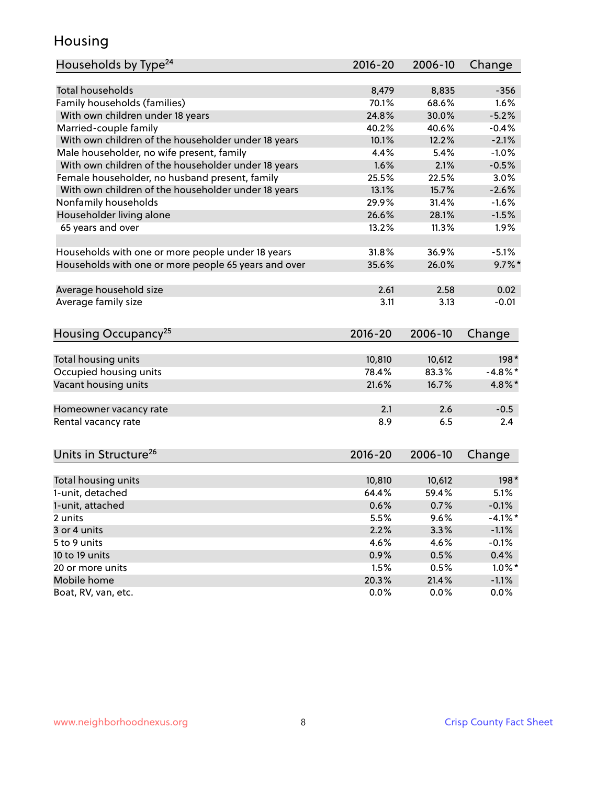### Housing

| Households by Type <sup>24</sup>                     | 2016-20     | 2006-10 | Change               |
|------------------------------------------------------|-------------|---------|----------------------|
|                                                      |             |         |                      |
| <b>Total households</b>                              | 8,479       | 8,835   | $-356$               |
| Family households (families)                         | 70.1%       | 68.6%   | 1.6%                 |
| With own children under 18 years                     | 24.8%       | 30.0%   | $-5.2%$              |
| Married-couple family                                | 40.2%       | 40.6%   | $-0.4%$              |
| With own children of the householder under 18 years  | 10.1%       | 12.2%   | $-2.1%$              |
| Male householder, no wife present, family            | 4.4%        | 5.4%    | $-1.0%$              |
| With own children of the householder under 18 years  | 1.6%        | 2.1%    | $-0.5%$              |
| Female householder, no husband present, family       | 25.5%       | 22.5%   | 3.0%                 |
| With own children of the householder under 18 years  | 13.1%       | 15.7%   | $-2.6%$              |
| Nonfamily households                                 | 29.9%       | 31.4%   | $-1.6%$              |
| Householder living alone                             | 26.6%       | 28.1%   | $-1.5%$              |
| 65 years and over                                    | 13.2%       | 11.3%   | 1.9%                 |
|                                                      |             |         |                      |
| Households with one or more people under 18 years    | 31.8%       | 36.9%   | $-5.1%$              |
| Households with one or more people 65 years and over | 35.6%       | 26.0%   | $9.7\%$ *            |
|                                                      |             |         |                      |
| Average household size                               | 2.61        | 2.58    | 0.02                 |
| Average family size                                  | 3.11        | 3.13    | $-0.01$              |
|                                                      |             |         |                      |
| Housing Occupancy <sup>25</sup>                      | $2016 - 20$ | 2006-10 | Change               |
|                                                      |             |         |                      |
| Total housing units                                  | 10,810      | 10,612  | 198*                 |
| Occupied housing units                               | 78.4%       | 83.3%   | $-4.8\%$ *           |
| Vacant housing units                                 | 21.6%       | 16.7%   | 4.8%*                |
|                                                      |             |         |                      |
| Homeowner vacancy rate                               | 2.1         | 2.6     | $-0.5$               |
| Rental vacancy rate                                  | 8.9         | 6.5     | 2.4                  |
|                                                      |             |         |                      |
|                                                      |             |         |                      |
| Units in Structure <sup>26</sup>                     | 2016-20     | 2006-10 | Change               |
| Total housing units                                  | 10,810      | 10,612  | $198*$               |
| 1-unit, detached                                     | 64.4%       | 59.4%   | 5.1%                 |
|                                                      |             |         |                      |
| 1-unit, attached                                     | 0.6%        | 0.7%    | $-0.1%$<br>$-4.1%$ * |
| 2 units                                              | 5.5%        | 9.6%    |                      |
| 3 or 4 units                                         | 2.2%        | 3.3%    | $-1.1%$              |
| 5 to 9 units                                         | 4.6%        | 4.6%    | $-0.1%$              |
| 10 to 19 units                                       | 0.9%        | 0.5%    | 0.4%                 |
| 20 or more units                                     | 1.5%        | 0.5%    | $1.0\%$ *            |
| Mobile home                                          | 20.3%       | 21.4%   | $-1.1%$              |
| Boat, RV, van, etc.                                  | 0.0%        | $0.0\%$ | 0.0%                 |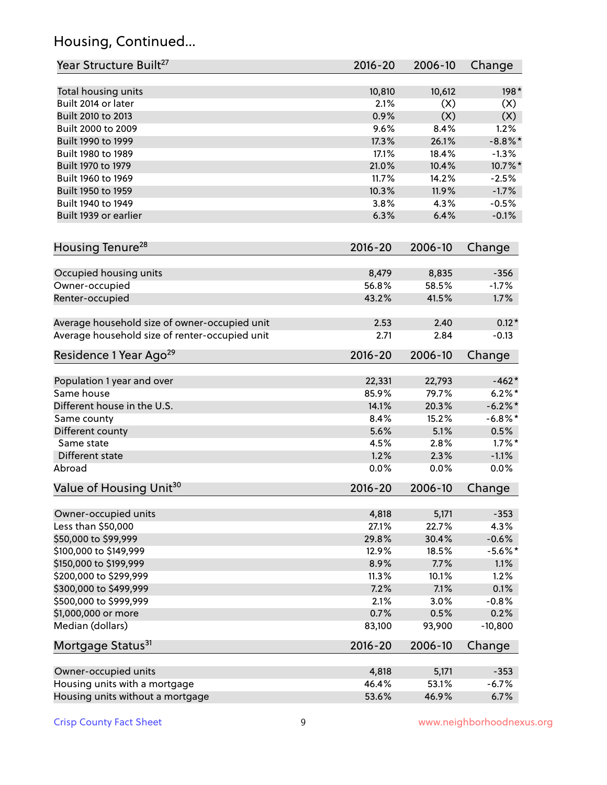## Housing, Continued...

| Year Structure Built <sup>27</sup>             | 2016-20     | 2006-10 | Change     |
|------------------------------------------------|-------------|---------|------------|
| Total housing units                            | 10,810      | 10,612  | 198*       |
| Built 2014 or later                            | 2.1%        | (X)     | (X)        |
| Built 2010 to 2013                             | 0.9%        | (X)     | (X)        |
| Built 2000 to 2009                             | 9.6%        | 8.4%    | 1.2%       |
| Built 1990 to 1999                             | 17.3%       | 26.1%   | $-8.8\%$ * |
| Built 1980 to 1989                             | 17.1%       | 18.4%   | $-1.3%$    |
| Built 1970 to 1979                             | 21.0%       | 10.4%   | 10.7%*     |
| Built 1960 to 1969                             | 11.7%       | 14.2%   | $-2.5%$    |
| Built 1950 to 1959                             | 10.3%       | 11.9%   | $-1.7%$    |
| Built 1940 to 1949                             | 3.8%        | 4.3%    | $-0.5%$    |
| Built 1939 or earlier                          | 6.3%        | 6.4%    | $-0.1%$    |
| Housing Tenure <sup>28</sup>                   | $2016 - 20$ | 2006-10 | Change     |
| Occupied housing units                         | 8,479       | 8,835   | $-356$     |
| Owner-occupied                                 | 56.8%       | 58.5%   | $-1.7%$    |
| Renter-occupied                                | 43.2%       | 41.5%   | 1.7%       |
|                                                |             |         |            |
| Average household size of owner-occupied unit  | 2.53        | 2.40    | $0.12*$    |
| Average household size of renter-occupied unit | 2.71        | 2.84    | $-0.13$    |
| Residence 1 Year Ago <sup>29</sup>             | $2016 - 20$ | 2006-10 | Change     |
| Population 1 year and over                     | 22,331      | 22,793  | $-462*$    |
| Same house                                     | 85.9%       | 79.7%   | $6.2%$ *   |
| Different house in the U.S.                    | 14.1%       | 20.3%   | $-6.2\%$ * |
| Same county                                    | 8.4%        | 15.2%   | $-6.8\%$ * |
| Different county                               | 5.6%        | 5.1%    | 0.5%       |
| Same state                                     | 4.5%        | 2.8%    | $1.7\%$ *  |
| Different state                                | 1.2%        | 2.3%    | $-1.1%$    |
| Abroad                                         | 0.0%        | 0.0%    | 0.0%       |
| Value of Housing Unit <sup>30</sup>            | 2016-20     | 2006-10 | Change     |
| Owner-occupied units                           | 4,818       | 5,171   | $-353$     |
| Less than \$50,000                             | 27.1%       | 22.7%   | 4.3%       |
| \$50,000 to \$99,999                           | 29.8%       | 30.4%   | $-0.6%$    |
| \$100,000 to \$149,999                         | 12.9%       | 18.5%   | $-5.6\%$ * |
| \$150,000 to \$199,999                         | 8.9%        | 7.7%    | 1.1%       |
| \$200,000 to \$299,999                         | 11.3%       | 10.1%   | 1.2%       |
| \$300,000 to \$499,999                         | 7.2%        | 7.1%    | 0.1%       |
| \$500,000 to \$999,999                         | 2.1%        | 3.0%    | $-0.8%$    |
| \$1,000,000 or more                            | 0.7%        | 0.5%    | 0.2%       |
| Median (dollars)                               | 83,100      | 93,900  | $-10,800$  |
| Mortgage Status <sup>31</sup>                  | $2016 - 20$ | 2006-10 | Change     |
| Owner-occupied units                           | 4,818       | 5,171   | $-353$     |
| Housing units with a mortgage                  | 46.4%       | 53.1%   | $-6.7%$    |
| Housing units without a mortgage               | 53.6%       | 46.9%   | 6.7%       |
|                                                |             |         |            |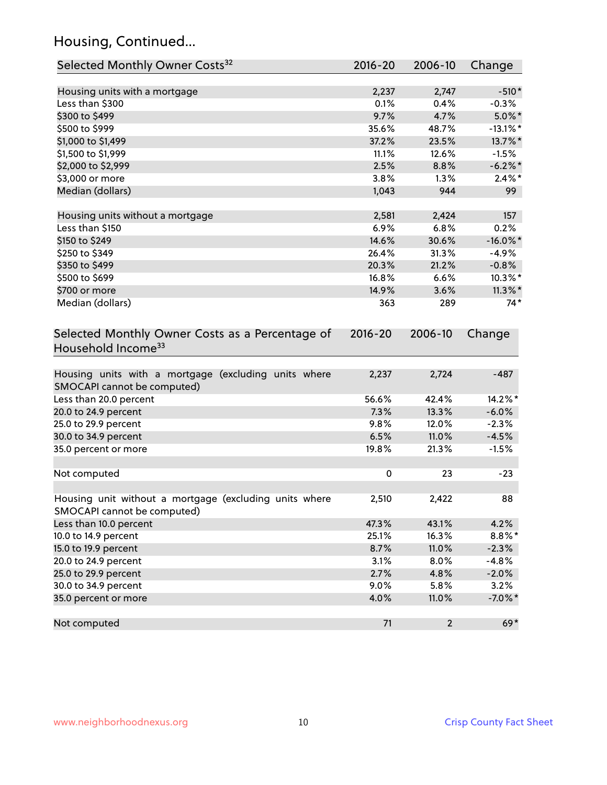## Housing, Continued...

| Selected Monthly Owner Costs <sup>32</sup>                                            | $2016 - 20$ | 2006-10                 | Change      |
|---------------------------------------------------------------------------------------|-------------|-------------------------|-------------|
| Housing units with a mortgage                                                         | 2,237       | 2,747                   | $-510*$     |
| Less than \$300                                                                       | 0.1%        | 0.4%                    | $-0.3%$     |
| \$300 to \$499                                                                        | 9.7%        | 4.7%                    | $5.0\%$ *   |
| \$500 to \$999                                                                        | 35.6%       | 48.7%                   | $-13.1\%$ * |
| \$1,000 to \$1,499                                                                    | 37.2%       | 23.5%                   | 13.7%*      |
| \$1,500 to \$1,999                                                                    | 11.1%       | 12.6%                   | $-1.5%$     |
| \$2,000 to \$2,999                                                                    | 2.5%        | 8.8%                    | $-6.2\%$ *  |
| \$3,000 or more                                                                       | 3.8%        | 1.3%                    | $2.4\%$ *   |
| Median (dollars)                                                                      | 1,043       | 944                     | 99          |
| Housing units without a mortgage                                                      | 2,581       | 2,424                   | 157         |
| Less than \$150                                                                       | 6.9%        | 6.8%                    | 0.2%        |
| \$150 to \$249                                                                        | 14.6%       | 30.6%                   | $-16.0\%$ * |
| \$250 to \$349                                                                        | 26.4%       | 31.3%                   | $-4.9%$     |
| \$350 to \$499                                                                        | 20.3%       | 21.2%                   | $-0.8%$     |
| \$500 to \$699                                                                        | 16.8%       | 6.6%                    | $10.3\%$ *  |
| \$700 or more                                                                         | 14.9%       | 3.6%                    | $11.3\%$ *  |
| Median (dollars)                                                                      | 363         | 289                     | $74*$       |
| Selected Monthly Owner Costs as a Percentage of<br>Household Income <sup>33</sup>     | $2016 - 20$ | 2006-10                 | Change      |
| Housing units with a mortgage (excluding units where<br>SMOCAPI cannot be computed)   | 2,237       | 2,724                   | $-487$      |
| Less than 20.0 percent                                                                | 56.6%       | 42.4%                   | 14.2%*      |
| 20.0 to 24.9 percent                                                                  | 7.3%        | 13.3%                   | $-6.0%$     |
| 25.0 to 29.9 percent                                                                  | 9.8%        | 12.0%                   | $-2.3%$     |
| 30.0 to 34.9 percent                                                                  | 6.5%        | 11.0%                   | $-4.5%$     |
| 35.0 percent or more                                                                  | 19.8%       | 21.3%                   | $-1.5%$     |
| Not computed                                                                          | $\pmb{0}$   | 23                      | $-23$       |
| Housing unit without a mortgage (excluding units where<br>SMOCAPI cannot be computed) | 2,510       | 2,422                   | 88          |
| Less than 10.0 percent                                                                | 47.3%       | 43.1%                   | 4.2%        |
| 10.0 to 14.9 percent                                                                  | 25.1%       | 16.3%                   | $8.8\%$ *   |
| 15.0 to 19.9 percent                                                                  | 8.7%        | 11.0%                   | $-2.3%$     |
| 20.0 to 24.9 percent                                                                  | 3.1%        | 8.0%                    | $-4.8%$     |
| 25.0 to 29.9 percent                                                                  | 2.7%        | 4.8%                    | $-2.0%$     |
| 30.0 to 34.9 percent                                                                  | 9.0%        | 5.8%                    | 3.2%        |
| 35.0 percent or more                                                                  | 4.0%        | 11.0%                   | $-7.0\%$ *  |
| Not computed                                                                          | 71          | $\overline{\mathbf{c}}$ | $69*$       |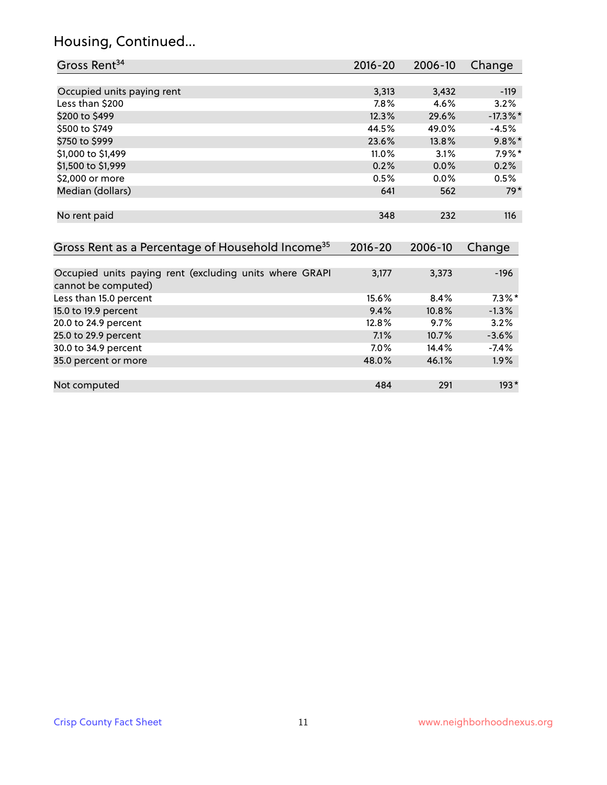## Housing, Continued...

| Gross Rent <sup>34</sup>                                                       | $2016 - 20$ | 2006-10 | Change      |
|--------------------------------------------------------------------------------|-------------|---------|-------------|
|                                                                                |             |         |             |
| Occupied units paying rent                                                     | 3,313       | 3,432   | $-119$      |
| Less than \$200                                                                | 7.8%        | 4.6%    | 3.2%        |
| \$200 to \$499                                                                 | 12.3%       | 29.6%   | $-17.3\%$ * |
| \$500 to \$749                                                                 | 44.5%       | 49.0%   | $-4.5%$     |
| \$750 to \$999                                                                 | 23.6%       | 13.8%   | $9.8\%$ *   |
| \$1,000 to \$1,499                                                             | 11.0%       | 3.1%    | $7.9\%$ *   |
| \$1,500 to \$1,999                                                             | 0.2%        | 0.0%    | 0.2%        |
| \$2,000 or more                                                                | 0.5%        | 0.0%    | 0.5%        |
| Median (dollars)                                                               | 641         | 562     | $79*$       |
| No rent paid                                                                   | 348         | 232     | 116         |
| Gross Rent as a Percentage of Household Income <sup>35</sup>                   | $2016 - 20$ | 2006-10 | Change      |
| Occupied units paying rent (excluding units where GRAPI<br>cannot be computed) | 3,177       | 3,373   | $-196$      |
| Less than 15.0 percent                                                         | 15.6%       | 8.4%    | $7.3\%$ *   |
| 15.0 to 19.9 percent                                                           | 9.4%        | 10.8%   | $-1.3%$     |
| 20.0 to 24.9 percent                                                           | 12.8%       | 9.7%    | 3.2%        |
| 25.0 to 29.9 percent                                                           | 7.1%        | 10.7%   | $-3.6%$     |
| 30.0 to 34.9 percent                                                           | 7.0%        | 14.4%   | $-7.4%$     |
| 35.0 percent or more                                                           | 48.0%       | 46.1%   | 1.9%        |
| Not computed                                                                   | 484         | 291     | $193*$      |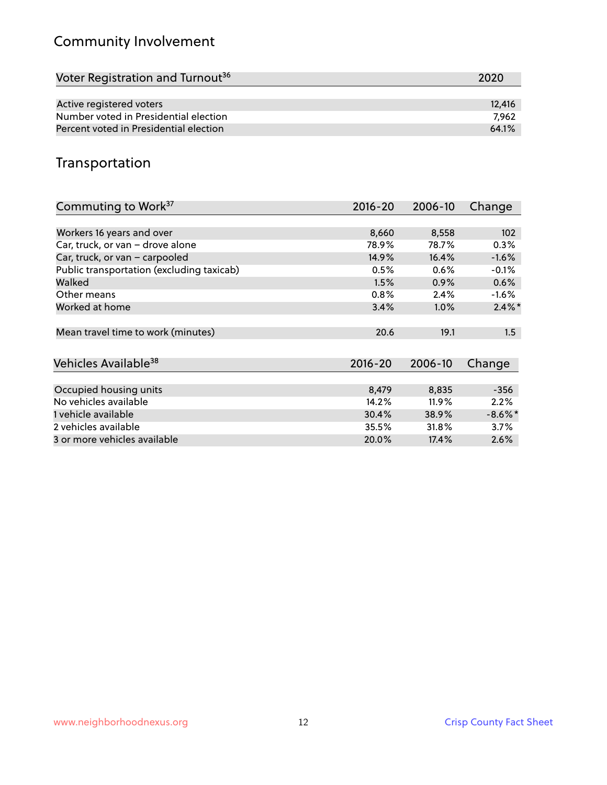## Community Involvement

| Voter Registration and Turnout <sup>36</sup> | 2020   |
|----------------------------------------------|--------|
|                                              |        |
| Active registered voters                     | 12,416 |
| Number voted in Presidential election        | 7.962  |
| Percent voted in Presidential election       | 64.1%  |

## Transportation

| Commuting to Work <sup>37</sup>           | 2016-20     | 2006-10 | Change     |
|-------------------------------------------|-------------|---------|------------|
|                                           |             |         |            |
| Workers 16 years and over                 | 8,660       | 8,558   | 102        |
| Car, truck, or van - drove alone          | 78.9%       | 78.7%   | 0.3%       |
| Car, truck, or van - carpooled            | 14.9%       | 16.4%   | $-1.6%$    |
| Public transportation (excluding taxicab) | 0.5%        | $0.6\%$ | $-0.1%$    |
| Walked                                    | 1.5%        | 0.9%    | 0.6%       |
| Other means                               | 0.8%        | 2.4%    | $-1.6%$    |
| Worked at home                            | 3.4%        | $1.0\%$ | $2.4\%$ *  |
| Mean travel time to work (minutes)        | 20.6        | 19.1    | 1.5        |
| Vehicles Available <sup>38</sup>          | $2016 - 20$ | 2006-10 | Change     |
| Occupied housing units                    | 8,479       | 8,835   | $-356$     |
| No vehicles available                     | 14.2%       | 11.9%   | 2.2%       |
| 1 vehicle available                       | 30.4%       | 38.9%   | $-8.6\%$ * |
| 2 vehicles available                      | 35.5%       | 31.8%   | 3.7%       |
| 3 or more vehicles available              | 20.0%       | 17.4%   | 2.6%       |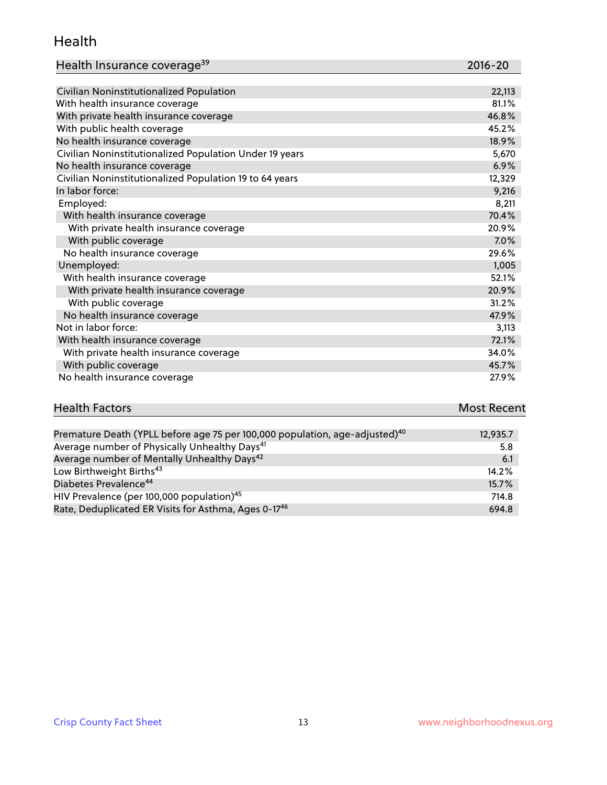#### Health

| Health Insurance coverage <sup>39</sup> | 2016-20 |
|-----------------------------------------|---------|
|-----------------------------------------|---------|

| Civilian Noninstitutionalized Population                | 22,113 |
|---------------------------------------------------------|--------|
| With health insurance coverage                          | 81.1%  |
| With private health insurance coverage                  | 46.8%  |
| With public health coverage                             | 45.2%  |
| No health insurance coverage                            | 18.9%  |
| Civilian Noninstitutionalized Population Under 19 years | 5,670  |
| No health insurance coverage                            | 6.9%   |
| Civilian Noninstitutionalized Population 19 to 64 years | 12,329 |
| In labor force:                                         | 9,216  |
| Employed:                                               | 8,211  |
| With health insurance coverage                          | 70.4%  |
| With private health insurance coverage                  | 20.9%  |
| With public coverage                                    | 7.0%   |
| No health insurance coverage                            | 29.6%  |
| Unemployed:                                             | 1,005  |
| With health insurance coverage                          | 52.1%  |
| With private health insurance coverage                  | 20.9%  |
| With public coverage                                    | 31.2%  |
| No health insurance coverage                            | 47.9%  |
| Not in labor force:                                     | 3,113  |
| With health insurance coverage                          | 72.1%  |
| With private health insurance coverage                  | 34.0%  |
| With public coverage                                    | 45.7%  |
| No health insurance coverage                            | 27.9%  |

# **Health Factors Most Recent** And The Control of the Control of The Control of The Control of The Control of The Control of The Control of The Control of The Control of The Control of The Control of The Control of The Contr

| Premature Death (YPLL before age 75 per 100,000 population, age-adjusted) <sup>40</sup> | 12,935.7 |
|-----------------------------------------------------------------------------------------|----------|
| Average number of Physically Unhealthy Days <sup>41</sup>                               | 5.8      |
| Average number of Mentally Unhealthy Days <sup>42</sup>                                 | 6.1      |
| Low Birthweight Births <sup>43</sup>                                                    | 14.2%    |
| Diabetes Prevalence <sup>44</sup>                                                       | $15.7\%$ |
| HIV Prevalence (per 100,000 population) <sup>45</sup>                                   | 714.8    |
| Rate, Deduplicated ER Visits for Asthma, Ages 0-17 <sup>46</sup>                        | 694.8    |